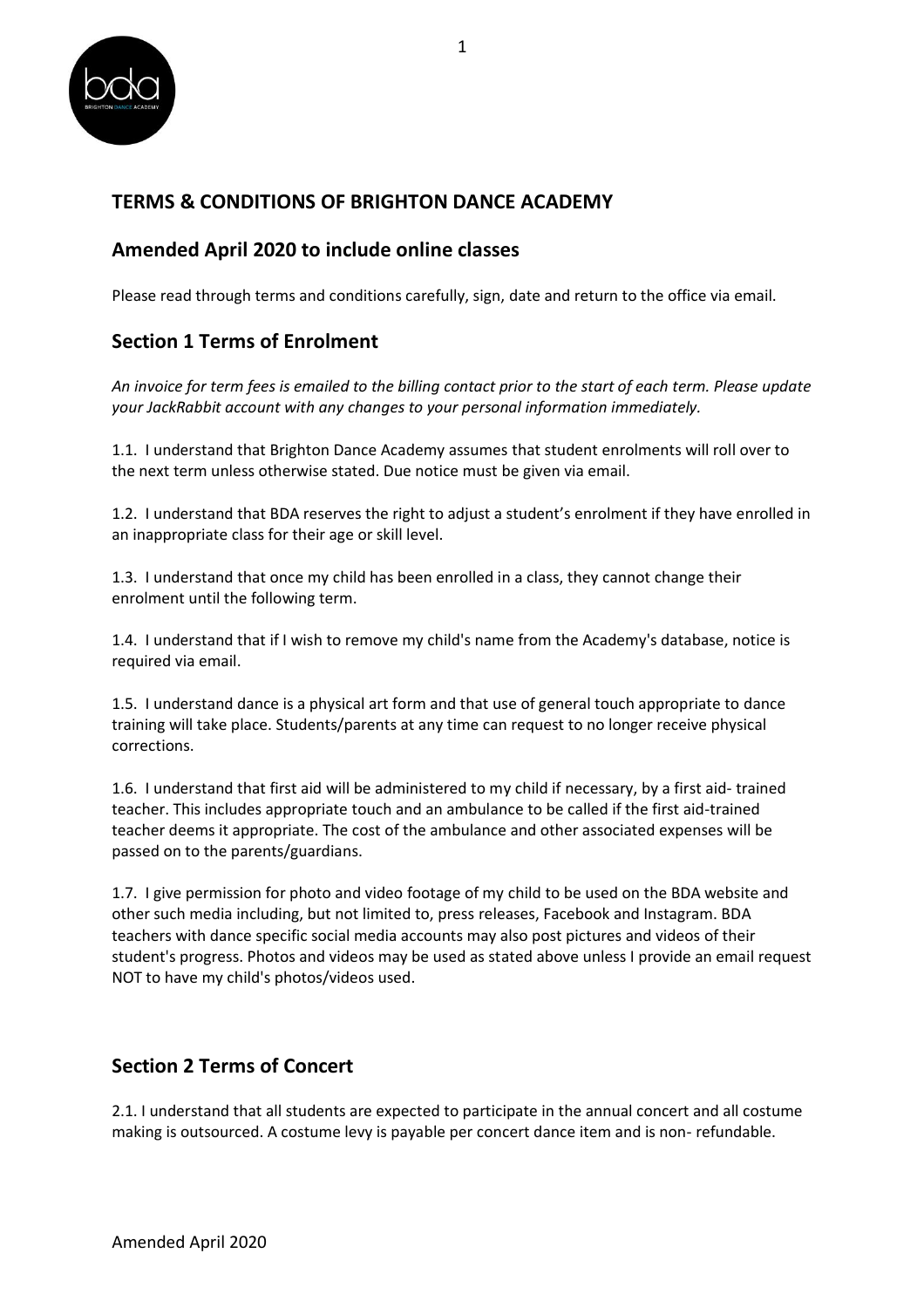

# **TERMS & CONDITIONS OF BRIGHTON DANCE ACADEMY**

### **Amended April 2020 to include online classes**

Please read through terms and conditions carefully, sign, date and return to the office via email.

# **Section 1 Terms of Enrolment**

*An invoice for term fees is emailed to the billing contact prior to the start of each term. Please update your JackRabbit account with any changes to your personal information immediately.* 

1.1. I understand that Brighton Dance Academy assumes that student enrolments will roll over to the next term unless otherwise stated. Due notice must be given via email.

1.2. I understand that BDA reserves the right to adjust a student's enrolment if they have enrolled in an inappropriate class for their age or skill level.

1.3. I understand that once my child has been enrolled in a class, they cannot change their enrolment until the following term.

1.4. I understand that if I wish to remove my child's name from the Academy's database, notice is required via email.

1.5. I understand dance is a physical art form and that use of general touch appropriate to dance training will take place. Students/parents at any time can request to no longer receive physical corrections.

1.6. I understand that first aid will be administered to my child if necessary, by a first aid- trained teacher. This includes appropriate touch and an ambulance to be called if the first aid-trained teacher deems it appropriate. The cost of the ambulance and other associated expenses will be passed on to the parents/guardians.

1.7. I give permission for photo and video footage of my child to be used on the BDA website and other such media including, but not limited to, press releases, Facebook and Instagram. BDA teachers with dance specific social media accounts may also post pictures and videos of their student's progress. Photos and videos may be used as stated above unless I provide an email request NOT to have my child's photos/videos used.

# **Section 2 Terms of Concert**

2.1. I understand that all students are expected to participate in the annual concert and all costume making is outsourced. A costume levy is payable per concert dance item and is non- refundable.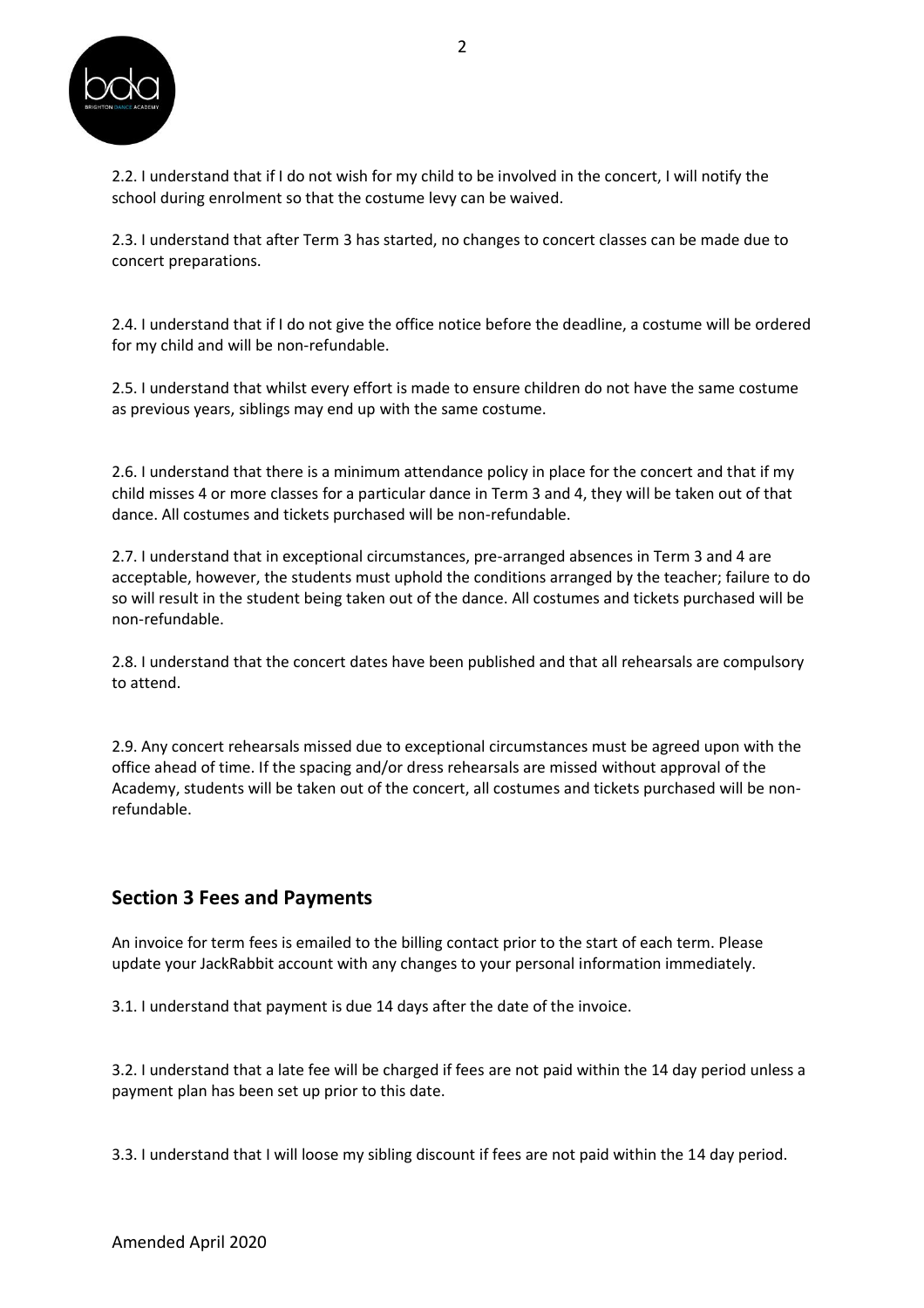

2.2. I understand that if I do not wish for my child to be involved in the concert, I will notify the school during enrolment so that the costume levy can be waived.

2.3. I understand that after Term 3 has started, no changes to concert classes can be made due to concert preparations.

2.4. I understand that if I do not give the office notice before the deadline, a costume will be ordered for my child and will be non-refundable.

2.5. I understand that whilst every effort is made to ensure children do not have the same costume as previous years, siblings may end up with the same costume.

2.6. I understand that there is a minimum attendance policy in place for the concert and that if my child misses 4 or more classes for a particular dance in Term 3 and 4, they will be taken out of that dance. All costumes and tickets purchased will be non-refundable.

2.7. I understand that in exceptional circumstances, pre-arranged absences in Term 3 and 4 are acceptable, however, the students must uphold the conditions arranged by the teacher; failure to do so will result in the student being taken out of the dance. All costumes and tickets purchased will be non-refundable.

2.8. I understand that the concert dates have been published and that all rehearsals are compulsory to attend.

2.9. Any concert rehearsals missed due to exceptional circumstances must be agreed upon with the office ahead of time. If the spacing and/or dress rehearsals are missed without approval of the Academy, students will be taken out of the concert, all costumes and tickets purchased will be nonrefundable.

#### **Section 3 Fees and Payments**

An invoice for term fees is emailed to the billing contact prior to the start of each term. Please update your JackRabbit account with any changes to your personal information immediately.

3.1. I understand that payment is due 14 days after the date of the invoice.

3.2. I understand that a late fee will be charged if fees are not paid within the 14 day period unless a payment plan has been set up prior to this date.

3.3. I understand that I will loose my sibling discount if fees are not paid within the 14 day period.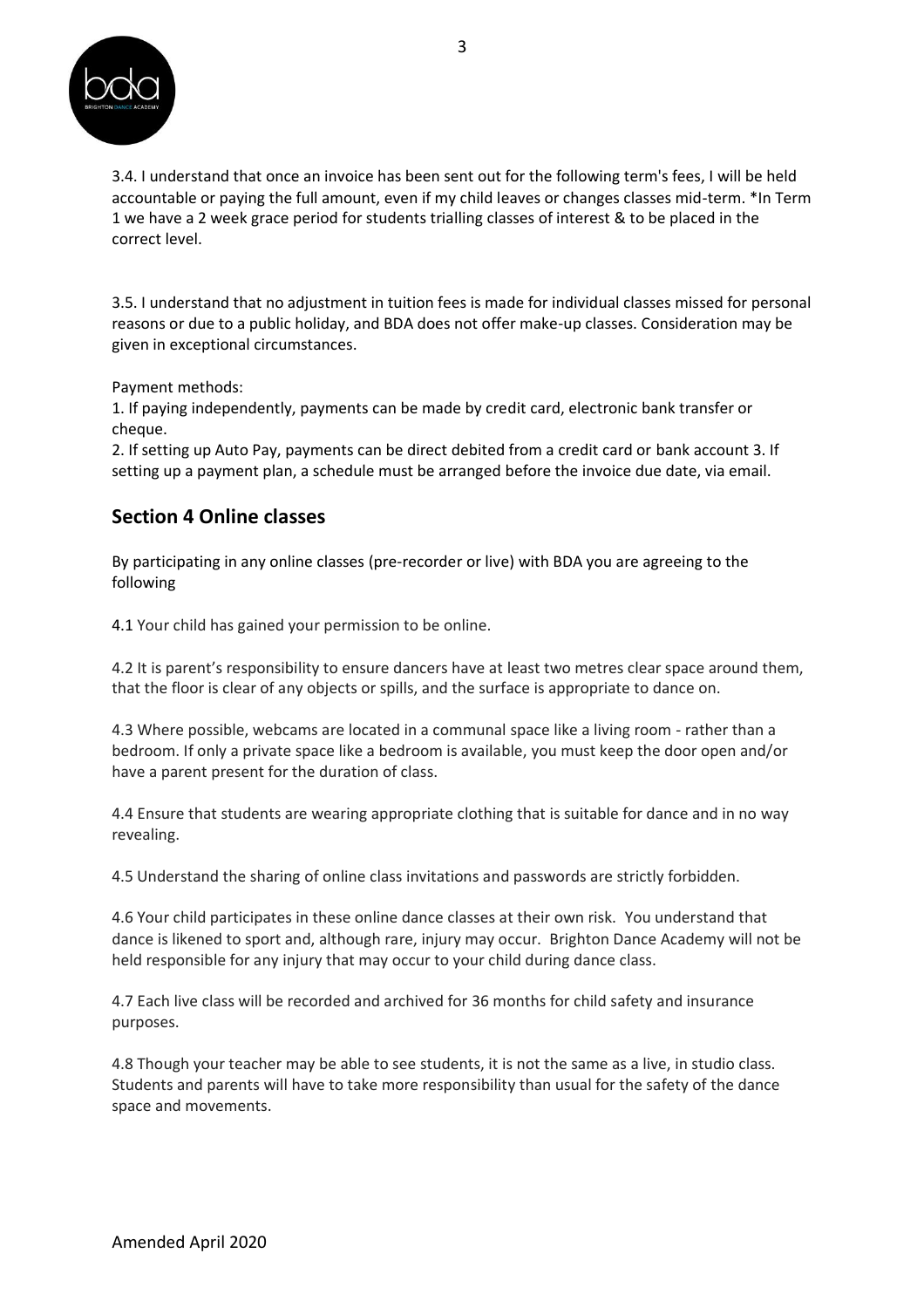

3.4. I understand that once an invoice has been sent out for the following term's fees, I will be held accountable or paying the full amount, even if my child leaves or changes classes mid-term. \*In Term 1 we have a 2 week grace period for students trialling classes of interest & to be placed in the correct level.

3.5. I understand that no adjustment in tuition fees is made for individual classes missed for personal reasons or due to a public holiday, and BDA does not offer make-up classes. Consideration may be given in exceptional circumstances.

Payment methods:

1. If paying independently, payments can be made by credit card, electronic bank transfer or cheque.

2. If setting up Auto Pay, payments can be direct debited from a credit card or bank account 3. If setting up a payment plan, a schedule must be arranged before the invoice due date, via email.

#### **Section 4 Online classes**

By participating in any online classes (pre-recorder or live) with BDA you are agreeing to the following

4.1 Your child has gained your permission to be online.

4.2 It is parent's responsibility to ensure dancers have at least two metres clear space around them, that the floor is clear of any objects or spills, and the surface is appropriate to dance on.

4.3 Where possible, webcams are located in a communal space like a living room - rather than a bedroom. If only a private space like a bedroom is available, you must keep the door open and/or have a parent present for the duration of class.

4.4 Ensure that students are wearing appropriate clothing that is suitable for dance and in no way revealing.

4.5 Understand the sharing of online class invitations and passwords are strictly forbidden.

4.6 Your child participates in these online dance classes at their own risk. You understand that dance is likened to sport and, although rare, injury may occur. Brighton Dance Academy will not be held responsible for any injury that may occur to your child during dance class.

4.7 Each live class will be recorded and archived for 36 months for child safety and insurance purposes.

4.8 Though your teacher may be able to see students, it is not the same as a live, in studio class. Students and parents will have to take more responsibility than usual for the safety of the dance space and movements.